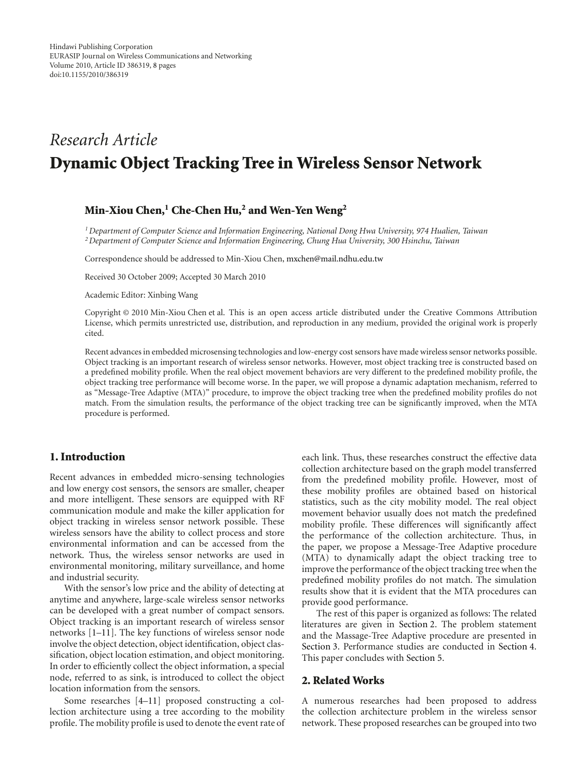# *Research Article* **Dynamic Object Tracking Tree in Wireless Sensor Network**

# **Min-Xiou Chen,1 Che-Chen Hu,2 and Wen-Yen Weng2**

*1Department of Computer Science and Information Engineering, National Dong Hwa University, 974 Hualien, Taiwan 2Department of Computer Science and Information Engineering, Chung Hua University, 300 Hsinchu, Taiwan*

Correspondence should be addressed to Min-Xiou Chen, mxchen@mail.ndhu.edu.tw

Received 30 October 2009; Accepted 30 March 2010

Academic Editor: Xinbing Wang

Copyright © 2010 Min-Xiou Chen et al. This is an open access article distributed under the Creative Commons Attribution License, which permits unrestricted use, distribution, and reproduction in any medium, provided the original work is properly cited.

Recent advances in embedded microsensing technologies and low-energy cost sensors have made wireless sensor networks possible. Object tracking is an important research of wireless sensor networks. However, most object tracking tree is constructed based on a predefined mobility profile. When the real object movement behaviors are very different to the predefined mobility profile, the object tracking tree performance will become worse. In the paper, we will propose a dynamic adaptation mechanism, referred to as "Message-Tree Adaptive (MTA)" procedure, to improve the object tracking tree when the predefined mobility profiles do not match. From the simulation results, the performance of the object tracking tree can be significantly improved, when the MTA procedure is performed.

# **1. Introduction**

Recent advances in embedded micro-sensing technologies and low energy cost sensors, the sensors are smaller, cheaper and more intelligent. These sensors are equipped with RF communication module and make the killer application for object tracking in wireless sensor network possible. These wireless sensors have the ability to collect process and store environmental information and can be accessed from the network. Thus, the wireless sensor networks are used in environmental monitoring, military surveillance, and home and industrial security.

With the sensor's low price and the ability of detecting at anytime and anywhere, large-scale wireless sensor networks can be developed with a great number of compact sensors. Object tracking is an important research of wireless sensor networks [1–11]. The key functions of wireless sensor node involve the object detection, object identification, object classification, object location estimation, and object monitoring. In order to efficiently collect the object information, a special node, referred to as sink, is introduced to collect the object location information from the sensors.

Some researches [4–11] proposed constructing a collection architecture using a tree according to the mobility profile. The mobility profile is used to denote the event rate of each link. Thus, these researches construct the effective data collection architecture based on the graph model transferred from the predefined mobility profile. However, most of these mobility profiles are obtained based on historical statistics, such as the city mobility model. The real object movement behavior usually does not match the predefined mobility profile. These differences will significantly affect the performance of the collection architecture. Thus, in the paper, we propose a Message-Tree Adaptive procedure (MTA) to dynamically adapt the object tracking tree to improve the performance of the object tracking tree when the predefined mobility profiles do not match. The simulation results show that it is evident that the MTA procedures can provide good performance.

The rest of this paper is organized as follows: The related literatures are given in Section 2. The problem statement and the Massage-Tree Adaptive procedure are presented in Section 3. Performance studies are conducted in Section 4. This paper concludes with Section 5.

### **2. Related Works**

A numerous researches had been proposed to address the collection architecture problem in the wireless sensor network. These proposed researches can be grouped into two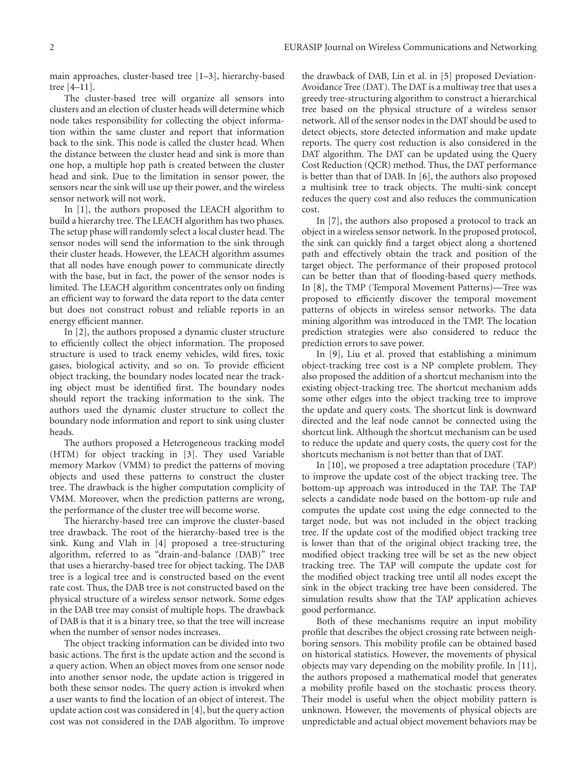main approaches, cluster-based tree [1–3], hierarchy-based tree [4–11].

The cluster-based tree will organize all sensors into clusters and an election of cluster heads will determine which node takes responsibility for collecting the object information within the same cluster and report that information back to the sink. This node is called the cluster head. When the distance between the cluster head and sink is more than one hop, a multiple hop path is created between the cluster head and sink. Due to the limitation in sensor power, the sensors near the sink will use up their power, and the wireless sensor network will not work.

In [1], the authors proposed the LEACH algorithm to build a hierarchy tree. The LEACH algorithm has two phases. The setup phase will randomly select a local cluster head. The sensor nodes will send the information to the sink through their cluster heads. However, the LEACH algorithm assumes that all nodes have enough power to communicate directly with the base, but in fact, the power of the sensor nodes is limited. The LEACH algorithm concentrates only on finding an efficient way to forward the data report to the data center but does not construct robust and reliable reports in an energy efficient manner.

In [2], the authors proposed a dynamic cluster structure to efficiently collect the object information. The proposed structure is used to track enemy vehicles, wild fires, toxic gases, biological activity, and so on. To provide efficient object tracking, the boundary nodes located near the tracking object must be identified first. The boundary nodes should report the tracking information to the sink. The authors used the dynamic cluster structure to collect the boundary node information and report to sink using cluster heads.

The authors proposed a Heterogeneous tracking model (HTM) for object tracking in [3]. They used Variable memory Markov (VMM) to predict the patterns of moving objects and used these patterns to construct the cluster tree. The drawback is the higher computation complicity of VMM. Moreover, when the prediction patterns are wrong, the performance of the cluster tree will become worse.

The hierarchy-based tree can improve the cluster-based tree drawback. The root of the hierarchy-based tree is the sink. Kung and Vlah in [4] proposed a tree-structuring algorithm, referred to as "drain-and-balance (DAB)" tree that uses a hierarchy-based tree for object tacking. The DAB tree is a logical tree and is constructed based on the event rate cost. Thus, the DAB tree is not constructed based on the physical structure of a wireless sensor network. Some edges in the DAB tree may consist of multiple hops. The drawback of DAB is that it is a binary tree, so that the tree will increase when the number of sensor nodes increases.

The object tracking information can be divided into two basic actions. The first is the update action and the second is a query action. When an object moves from one sensor node into another sensor node, the update action is triggered in both these sensor nodes. The query action is invoked when a user wants to find the location of an object of interest. The update action cost was considered in [4], but the query action cost was not considered in the DAB algorithm. To improve

the drawback of DAB, Lin et al. in [5] proposed Deviation-Avoidance Tree (DAT). The DAT is a multiway tree that uses a greedy tree-structuring algorithm to construct a hierarchical tree based on the physical structure of a wireless sensor network. All of the sensor nodes in the DAT should be used to detect objects, store detected information and make update reports. The query cost reduction is also considered in the DAT algorithm. The DAT can be updated using the Query Cost Reduction (QCR) method. Thus, the DAT performance is better than that of DAB. In [6], the authors also proposed a multisink tree to track objects. The multi-sink concept reduces the query cost and also reduces the communication cost.

In [7], the authors also proposed a protocol to track an object in a wireless sensor network. In the proposed protocol, the sink can quickly find a target object along a shortened path and effectively obtain the track and position of the target object. The performance of their proposed protocol can be better than that of flooding-based query methods. In [8], the TMP (Temporal Movement Patterns)—Tree was proposed to efficiently discover the temporal movement patterns of objects in wireless sensor networks. The data mining algorithm was introduced in the TMP. The location prediction strategies were also considered to reduce the prediction errors to save power.

In [9], Liu et al. proved that establishing a minimum object-tracking tree cost is a NP complete problem. They also proposed the addition of a shortcut mechanism into the existing object-tracking tree. The shortcut mechanism adds some other edges into the object tracking tree to improve the update and query costs. The shortcut link is downward directed and the leaf node cannot be connected using the shortcut link. Although the shortcut mechanism can be used to reduce the update and query costs, the query cost for the shortcuts mechanism is not better than that of DAT.

In [10], we proposed a tree adaptation procedure (TAP) to improve the update cost of the object tracking tree. The bottom-up approach was introduced in the TAP. The TAP selects a candidate node based on the bottom-up rule and computes the update cost using the edge connected to the target node, but was not included in the object tracking tree. If the update cost of the modified object tracking tree is lower than that of the original object tracking tree, the modified object tracking tree will be set as the new object tracking tree. The TAP will compute the update cost for the modified object tracking tree until all nodes except the sink in the object tracking tree have been considered. The simulation results show that the TAP application achieves good performance.

Both of these mechanisms require an input mobility profile that describes the object crossing rate between neighboring sensors. This mobility profile can be obtained based on historical statistics. However, the movements of physical objects may vary depending on the mobility profile. In [11], the authors proposed a mathematical model that generates a mobility profile based on the stochastic process theory. Their model is useful when the object mobility pattern is unknown. However, the movements of physical objects are unpredictable and actual object movement behaviors may be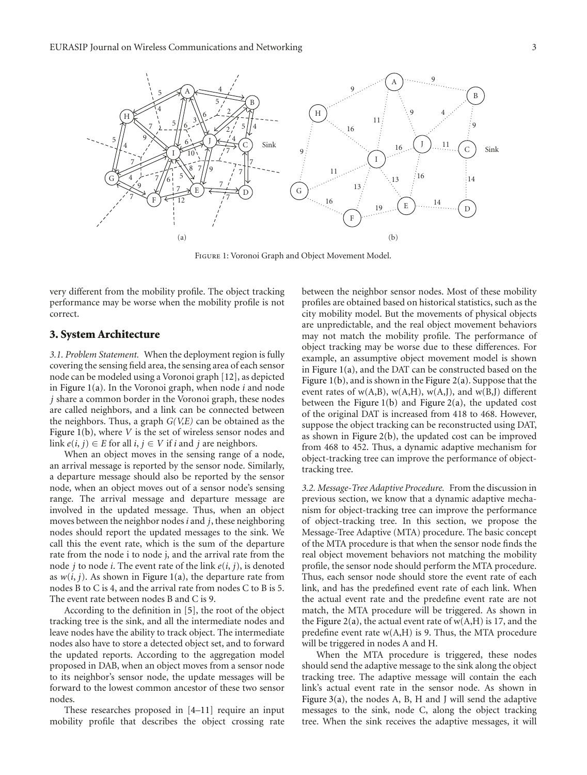

Figure 1: Voronoi Graph and Object Movement Model.

very different from the mobility profile. The object tracking performance may be worse when the mobility profile is not correct.

#### **3. System Architecture**

*3.1. Problem Statement.* When the deployment region is fully covering the sensing field area, the sensing area of each sensor node can be modeled using a Voronoi graph [12], as depicted in Figure 1(a). In the Voronoi graph, when node *i* and node *j* share a common border in the Voronoi graph, these nodes are called neighbors, and a link can be connected between the neighbors. Thus, a graph *G(V,E)* can be obtained as the Figure 1(b), where *V* is the set of wireless sensor nodes and link  $e(i, j) \in E$  for all  $i, j \in V$  if  $i$  and  $j$  are neighbors.

When an object moves in the sensing range of a node, an arrival message is reported by the sensor node. Similarly, a departure message should also be reported by the sensor node, when an object moves out of a sensor node's sensing range. The arrival message and departure message are involved in the updated message. Thus, when an object moves between the neighbor nodes *i* and *j*, these neighboring nodes should report the updated messages to the sink. We call this the event rate, which is the sum of the departure rate from the node i to node j, and the arrival rate from the node *j* to node *i*. The event rate of the link *e*(*i*, *j*), is denoted as  $w(i, j)$ . As shown in Figure 1(a), the departure rate from nodes B to C is 4, and the arrival rate from nodes C to B is 5. The event rate between nodes B and C is 9.

According to the definition in [5], the root of the object tracking tree is the sink, and all the intermediate nodes and leave nodes have the ability to track object. The intermediate nodes also have to store a detected object set, and to forward the updated reports. According to the aggregation model proposed in DAB, when an object moves from a sensor node to its neighbor's sensor node, the update messages will be forward to the lowest common ancestor of these two sensor nodes.

These researches proposed in [4–11] require an input mobility profile that describes the object crossing rate between the neighbor sensor nodes. Most of these mobility profiles are obtained based on historical statistics, such as the city mobility model. But the movements of physical objects are unpredictable, and the real object movement behaviors may not match the mobility profile. The performance of object tracking may be worse due to these differences. For example, an assumptive object movement model is shown in Figure 1(a), and the DAT can be constructed based on the Figure 1(b), and is shown in the Figure 2(a). Suppose that the event rates of  $w(A,B)$ ,  $w(A,H)$ ,  $w(A,J)$ , and  $w(B,J)$  different between the Figure  $1(b)$  and Figure  $2(a)$ , the updated cost of the original DAT is increased from 418 to 468. However, suppose the object tracking can be reconstructed using DAT, as shown in Figure 2(b), the updated cost can be improved from 468 to 452. Thus, a dynamic adaptive mechanism for object-tracking tree can improve the performance of objecttracking tree.

*3.2. Message-Tree Adaptive Procedure.* From the discussion in previous section, we know that a dynamic adaptive mechanism for object-tracking tree can improve the performance of object-tracking tree. In this section, we propose the Message-Tree Adaptive (MTA) procedure. The basic concept of the MTA procedure is that when the sensor node finds the real object movement behaviors not matching the mobility profile, the sensor node should perform the MTA procedure. Thus, each sensor node should store the event rate of each link, and has the predefined event rate of each link. When the actual event rate and the predefine event rate are not match, the MTA procedure will be triggered. As shown in the Figure 2(a), the actual event rate of  $w(A,H)$  is 17, and the predefine event rate  $w(A,H)$  is 9. Thus, the MTA procedure will be triggered in nodes A and H.

When the MTA procedure is triggered, these nodes should send the adaptive message to the sink along the object tracking tree. The adaptive message will contain the each link's actual event rate in the sensor node. As shown in Figure 3(a), the nodes A, B, H and J will send the adaptive messages to the sink, node C, along the object tracking tree. When the sink receives the adaptive messages, it will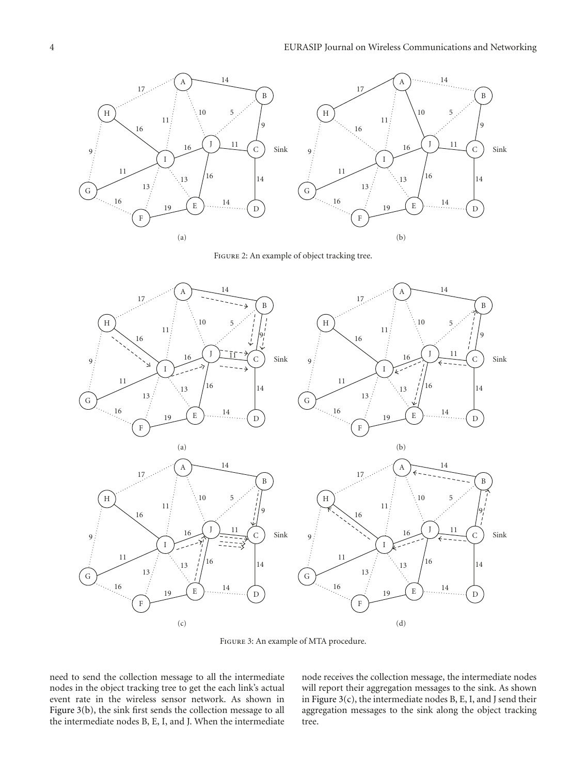

FIGURE 2: An example of object tracking tree.



Figure 3: An example of MTA procedure.

need to send the collection message to all the intermediate nodes in the object tracking tree to get the each link's actual event rate in the wireless sensor network. As shown in Figure 3(b), the sink first sends the collection message to all the intermediate nodes B, E, I, and J. When the intermediate node receives the collection message, the intermediate nodes will report their aggregation messages to the sink. As shown in Figure 3(c), the intermediate nodes B, E, I, and J send their aggregation messages to the sink along the object tracking tree.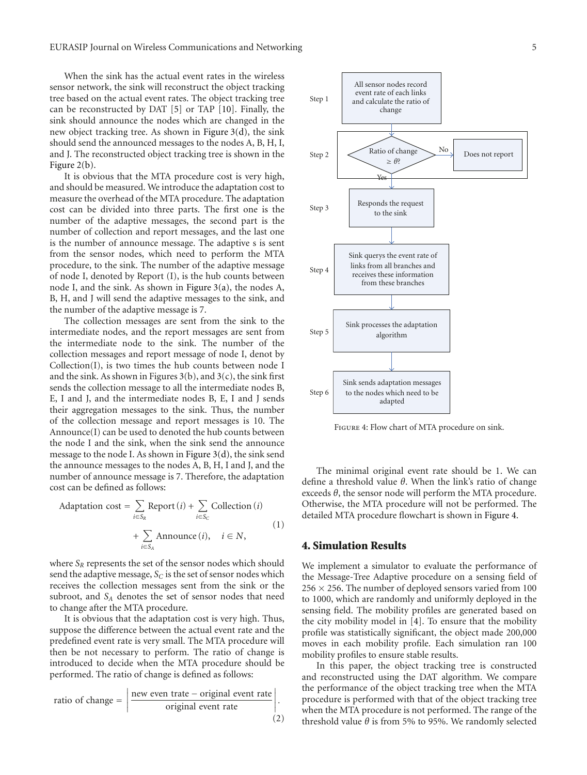When the sink has the actual event rates in the wireless sensor network, the sink will reconstruct the object tracking tree based on the actual event rates. The object tracking tree can be reconstructed by DAT [5] or TAP [10]. Finally, the sink should announce the nodes which are changed in the new object tracking tree. As shown in Figure 3(d), the sink should send the announced messages to the nodes A, B, H, I, and J. The reconstructed object tracking tree is shown in the Figure 2(b).

It is obvious that the MTA procedure cost is very high, and should be measured. We introduce the adaptation cost to measure the overhead of the MTA procedure. The adaptation cost can be divided into three parts. The first one is the number of the adaptive messages, the second part is the number of collection and report messages, and the last one is the number of announce message. The adaptive s is sent from the sensor nodes, which need to perform the MTA procedure, to the sink. The number of the adaptive message of node I, denoted by Report (I), is the hub counts between node I, and the sink. As shown in Figure 3(a), the nodes A, B, H, and J will send the adaptive messages to the sink, and the number of the adaptive message is 7.

The collection messages are sent from the sink to the intermediate nodes, and the report messages are sent from the intermediate node to the sink. The number of the collection messages and report message of node I, denot by Collection(I), is two times the hub counts between node I and the sink. As shown in Figures  $3(b)$ , and  $3(c)$ , the sink first sends the collection message to all the intermediate nodes B, E, I and J, and the intermediate nodes B, E, I and J sends their aggregation messages to the sink. Thus, the number of the collection message and report messages is 10. The Announce(I) can be used to denoted the hub counts between the node I and the sink, when the sink send the announce message to the node I. As shown in Figure 3(d), the sink send the announce messages to the nodes A, B, H, I and J, and the number of announce message is 7. Therefore, the adaptation cost can be defined as follows:

Adaptation cost = 
$$
\sum_{i \in S_R}
$$
 Report  $(i) + \sum_{i \in S_C}$  Collection  $(i)$   
+  $\sum_{i \in S_A}$  Announce  $(i)$ ,  $i \in N$ , (1)

where *S<sub>R</sub>* represents the set of the sensor nodes which should send the adaptive message,  $S_C$  is the set of sensor nodes which receives the collection messages sent from the sink or the subroot, and *SA* denotes the set of sensor nodes that need to change after the MTA procedure.

It is obvious that the adaptation cost is very high. Thus, suppose the difference between the actual event rate and the predefined event rate is very small. The MTA procedure will then be not necessary to perform. The ratio of change is introduced to decide when the MTA procedure should be performed. The ratio of change is defined as follows:

ratio of change = 
$$
\frac{\text{new even rate} - \text{original event rate}}{\text{original event rate}}.
$$
 (2)



Figure 4: Flow chart of MTA procedure on sink.

The minimal original event rate should be 1. We can define a threshold value *θ*. When the link's ratio of change exceeds  $\theta$ , the sensor node will perform the MTA procedure. Otherwise, the MTA procedure will not be performed. The detailed MTA procedure flowchart is shown in Figure 4.

#### **4. Simulation Results**

We implement a simulator to evaluate the performance of the Message-Tree Adaptive procedure on a sensing field of  $256 \times 256$ . The number of deployed sensors varied from 100 to 1000, which are randomly and uniformly deployed in the sensing field. The mobility profiles are generated based on the city mobility model in [4]. To ensure that the mobility profile was statistically significant, the object made 200,000 moves in each mobility profile. Each simulation ran 100 mobility profiles to ensure stable results.

In this paper, the object tracking tree is constructed and reconstructed using the DAT algorithm. We compare the performance of the object tracking tree when the MTA procedure is performed with that of the object tracking tree when the MTA procedure is not performed. The range of the threshold value  $\theta$  is from 5% to 95%. We randomly selected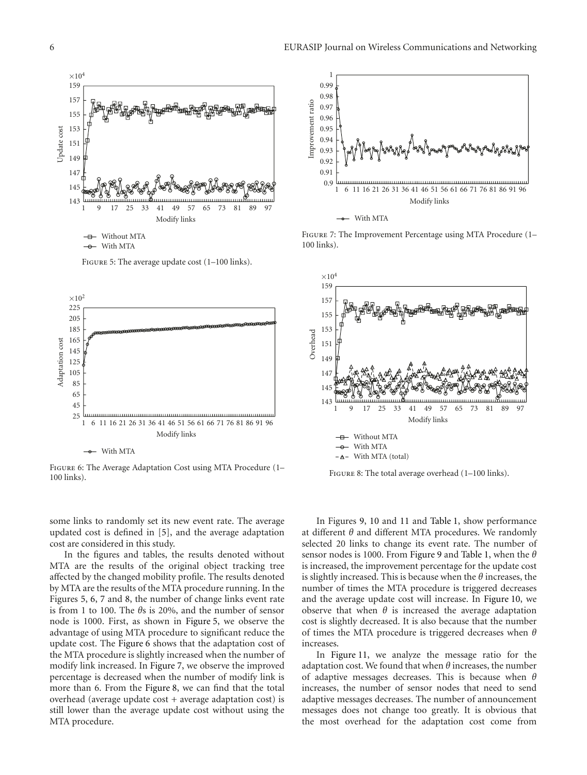

FIGURE 5: The average update cost (1-100 links).



Figure 6: The Average Adaptation Cost using MTA Procedure (1– 100 links).

some links to randomly set its new event rate. The average updated cost is defined in [5], and the average adaptation cost are considered in this study.

In the figures and tables, the results denoted without MTA are the results of the original object tracking tree affected by the changed mobility profile. The results denoted by MTA are the results of the MTA procedure running. In the Figures 5, 6, 7 and 8, the number of change links event rate is from 1 to 100. The *θ*s is 20%, and the number of sensor node is 1000. First, as shown in Figure 5, we observe the advantage of using MTA procedure to significant reduce the update cost. The Figure 6 shows that the adaptation cost of the MTA procedure is slightly increased when the number of modify link increased. In Figure 7, we observe the improved percentage is decreased when the number of modify link is more than 6. From the Figure 8, we can find that the total overhead (average update cost + average adaptation cost) is still lower than the average update cost without using the MTA procedure.



Figure 7: The Improvement Percentage using MTA Procedure (1– 100 links).



FIGURE 8: The total average overhead (1-100 links).

In Figures 9, 10 and 11 and Table 1, show performance at different *θ* and different MTA procedures. We randomly selected 20 links to change its event rate. The number of sensor nodes is 1000. From Figure 9 and Table 1, when the *θ* is increased, the improvement percentage for the update cost is slightly increased. This is because when the *θ* increases, the number of times the MTA procedure is triggered decreases and the average update cost will increase. In Figure 10, we observe that when  $\theta$  is increased the average adaptation cost is slightly decreased. It is also because that the number of times the MTA procedure is triggered decreases when *θ* increases.

In Figure 11, we analyze the message ratio for the adaptation cost. We found that when *θ* increases, the number of adaptive messages decreases. This is because when *θ* increases, the number of sensor nodes that need to send adaptive messages decreases. The number of announcement messages does not change too greatly. It is obvious that the most overhead for the adaptation cost come from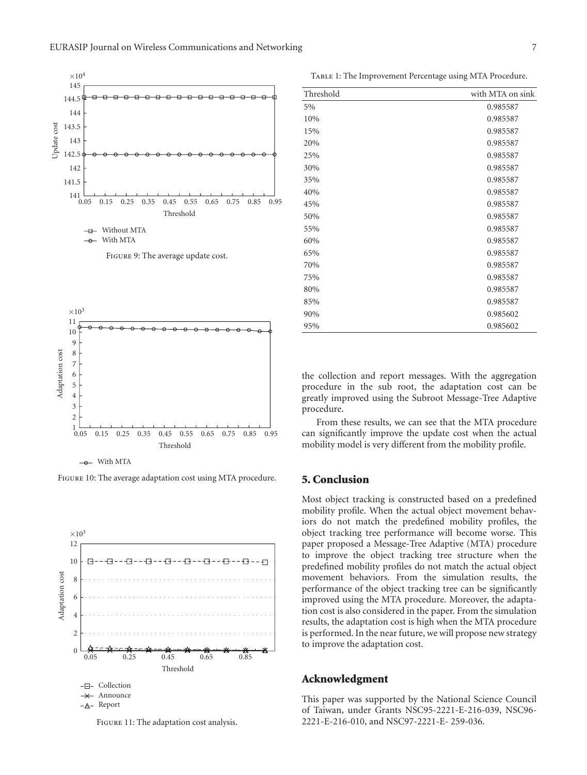

Figure 9: The average update cost.



With MTA

Figure 10: The average adaptation cost using MTA procedure.



Figure 11: The adaptation cost analysis.

TABLE 1: The Improvement Percentage using MTA Procedure.

| Threshold | with MTA on sink |
|-----------|------------------|
| 5%        | 0.985587         |
| 10%       | 0.985587         |
| 15%       | 0.985587         |
| 20%       | 0.985587         |
| 25%       | 0.985587         |
| 30%       | 0.985587         |
| 35%       | 0.985587         |
| 40%       | 0.985587         |
| 45%       | 0.985587         |
| 50%       | 0.985587         |
| 55%       | 0.985587         |
| 60%       | 0.985587         |
| 65%       | 0.985587         |
| 70%       | 0.985587         |
| 75%       | 0.985587         |
| 80%       | 0.985587         |
| 85%       | 0.985587         |
| 90%       | 0.985602         |
| 95%       | 0.985602         |

the collection and report messages. With the aggregation procedure in the sub root, the adaptation cost can be greatly improved using the Subroot Message-Tree Adaptive procedure.

From these results, we can see that the MTA procedure can significantly improve the update cost when the actual mobility model is very different from the mobility profile.

## **5. Conclusion**

Most object tracking is constructed based on a predefined mobility profile. When the actual object movement behaviors do not match the predefined mobility profiles, the object tracking tree performance will become worse. This paper proposed a Message-Tree Adaptive (MTA) procedure to improve the object tracking tree structure when the predefined mobility profiles do not match the actual object movement behaviors. From the simulation results, the performance of the object tracking tree can be significantly improved using the MTA procedure. Moreover, the adaptation cost is also considered in the paper. From the simulation results, the adaptation cost is high when the MTA procedure is performed. In the near future, we will propose new strategy to improve the adaptation cost.

#### **Acknowledgment**

This paper was supported by the National Science Council of Taiwan, under Grants NSC95-2221-E-216-039, NSC96- 2221-E-216-010, and NSC97-2221-E- 259-036.